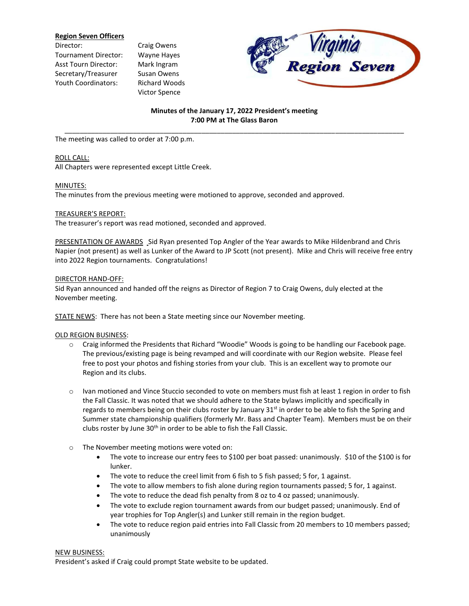## **Region Seven Officers**

- Director: Craig Owens Tournament Director: Wayne Hayes Asst Tourn Director: Mark Ingram Secretary/Treasurer Susan Owens Youth Coordinators: Richard Woods
- Victor Spence



# **Minutes of the January 17, 2022 President's meeting 7:00 PM at The Glass Baron** \_\_\_\_\_\_\_\_\_\_\_\_\_\_\_\_\_\_\_\_\_\_\_\_\_\_\_\_\_\_\_\_\_\_\_\_\_\_\_\_\_\_\_\_\_\_\_\_\_\_\_\_\_\_\_\_\_\_\_\_\_\_\_\_\_\_\_\_\_\_\_\_\_\_\_\_\_\_\_\_\_\_\_\_\_\_\_\_\_

The meeting was called to order at 7:00 p.m.

## ROLL CALL:

All Chapters were represented except Little Creek.

## MINUTES:

The minutes from the previous meeting were motioned to approve, seconded and approved.

# TREASURER'S REPORT:

The treasurer's report was read motioned, seconded and approved.

PRESENTATION OF AWARDS Sid Ryan presented Top Angler of the Year awards to Mike Hildenbrand and Chris Napier (not present) as well as Lunker of the Award to JP Scott (not present). Mike and Chris will receive free entry into 2022 Region tournaments. Congratulations!

## DIRECTOR HAND-OFF:

Sid Ryan announced and handed off the reigns as Director of Region 7 to Craig Owens, duly elected at the November meeting.

STATE NEWS: There has not been a State meeting since our November meeting.

# OLD REGION BUSINESS:

- o Craig informed the Presidents that Richard "Woodie" Woods is going to be handling our Facebook page. The previous/existing page is being revamped and will coordinate with our Region website. Please feel free to post your photos and fishing stories from your club. This is an excellent way to promote our Region and its clubs.
- o Ivan motioned and Vince Stuccio seconded to vote on members must fish at least 1 region in order to fish the Fall Classic. It was noted that we should adhere to the State bylaws implicitly and specifically in regards to members being on their clubs roster by January  $31<sup>st</sup>$  in order to be able to fish the Spring and Summer state championship qualifiers (formerly Mr. Bass and Chapter Team). Members must be on their clubs roster by June 30<sup>th</sup> in order to be able to fish the Fall Classic.
- o The November meeting motions were voted on:
	- The vote to increase our entry fees to \$100 per boat passed: unanimously. \$10 of the \$100 is for lunker.
	- The vote to reduce the creel limit from 6 fish to 5 fish passed; 5 for, 1 against.
	- The vote to allow members to fish alone during region tournaments passed; 5 for, 1 against.
	- The vote to reduce the dead fish penalty from 8 oz to 4 oz passed; unanimously.
	- The vote to exclude region tournament awards from our budget passed; unanimously. End of year trophies for Top Angler(s) and Lunker still remain in the region budget.
	- The vote to reduce region paid entries into Fall Classic from 20 members to 10 members passed; unanimously

#### NEW BUSINESS:

President's asked if Craig could prompt State website to be updated.